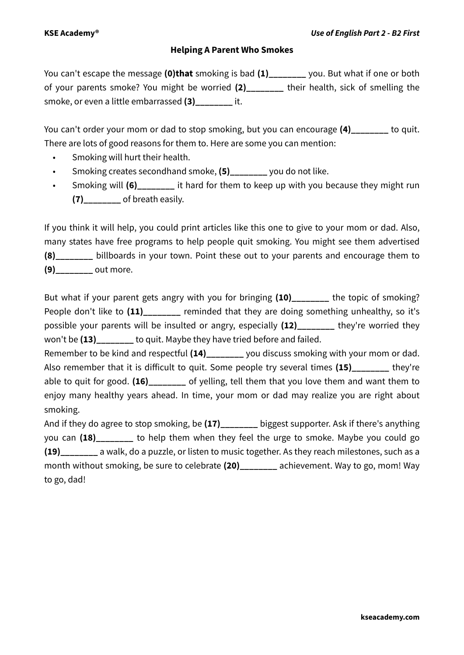## **Helping A Parent Who Smokes**

You can't escape the message **(0)that** smoking is bad **(1)\_\_\_\_\_\_\_\_** you. But what if one or both of your parents smoke? You might be worried **(2)\_\_\_\_\_\_\_\_** their health, sick of smelling the smoke, or even a little embarrassed **(3)\_\_\_\_\_\_\_\_** it.

You can't order your mom or dad to stop smoking, but you can encourage (4) to quit. There are lots of good reasons for them to. Here are some you can mention:

- Smoking will hurt their health.
- Smoking creates secondhand smoke, **(5)\_\_\_\_\_\_\_\_** you do not like.
- Smoking will (6) it hard for them to keep up with you because they might run **(7)\_\_\_\_\_\_\_\_** of breath easily.

If you think it will help, you could print articles like this one to give to your mom or dad. Also, many states have free programs to help people quit smoking. You might see them advertised **(8)\_\_\_\_\_\_\_\_** billboards in your town. Point these out to your parents and encourage them to **(9)\_\_\_\_\_\_\_\_** out more.

But what if your parent gets angry with you for bringing (10) the topic of smoking? People don't like to (11) comminded that they are doing something unhealthy, so it's possible your parents will be insulted or angry, especially (12) they're worried they won't be (13) to quit. Maybe they have tried before and failed.

Remember to be kind and respectful **(14)\_\_\_\_\_\_\_\_** you discuss smoking with your mom or dad. Also remember that it is difficult to quit. Some people try several times **(15)\_\_\_\_\_\_\_\_** they're able to quit for good. **(16)\_\_\_\_\_\_\_\_** of yelling, tell them that you love them and want them to enjoy many healthy years ahead. In time, your mom or dad may realize you are right about smoking.

And if they do agree to stop smoking, be **(17)\_\_\_\_\_\_\_\_** biggest supporter. Ask if there's anything you can **(18)\_\_\_\_\_\_\_\_** to help them when they feel the urge to smoke. Maybe you could go **(19)\_\_\_\_\_\_\_\_** a walk, do a puzzle, or listen to music together. As they reach milestones, such as a month without smoking, be sure to celebrate **(20)\_\_\_\_\_\_\_\_** achievement. Way to go, mom! Way to go, dad!